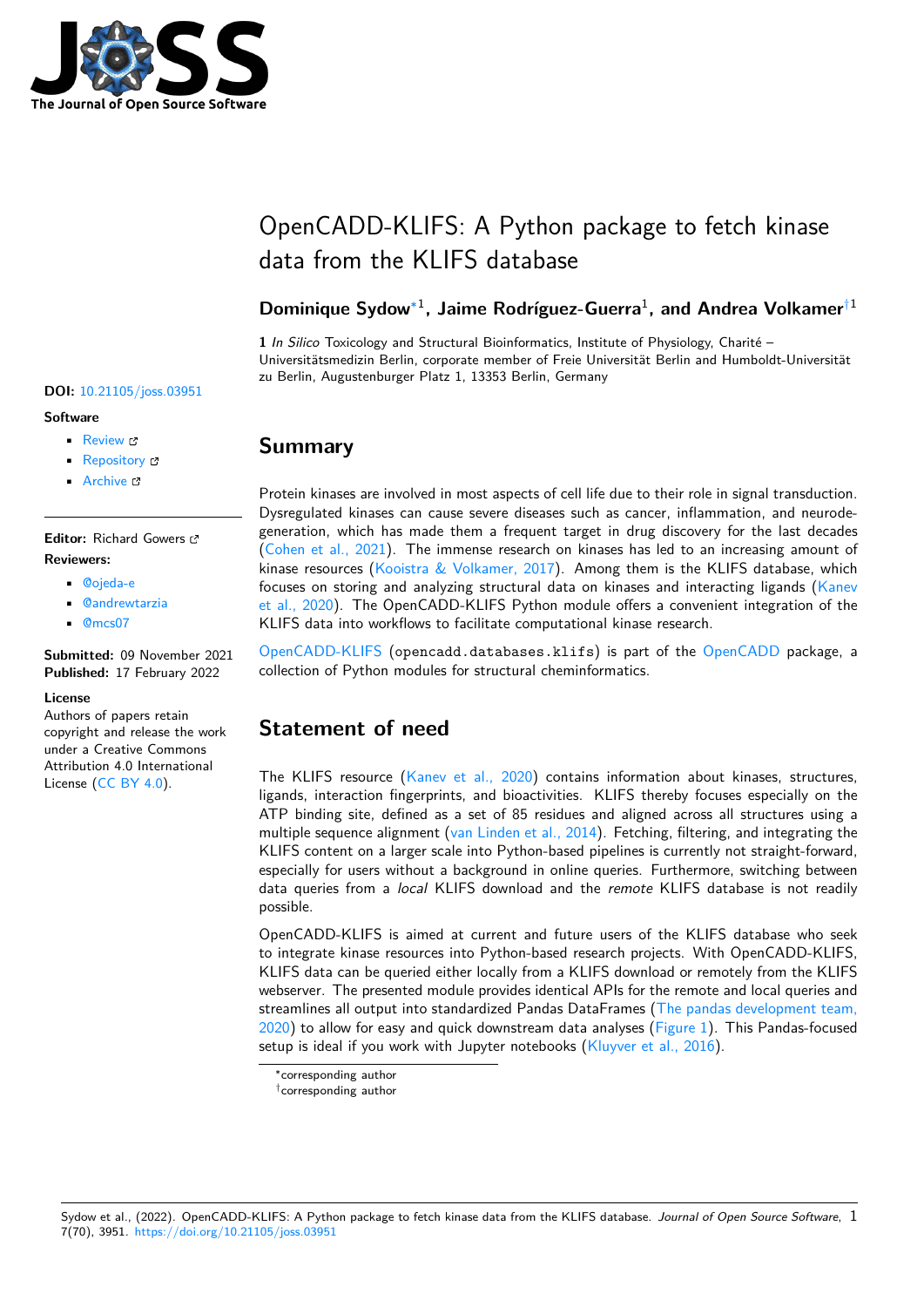

# OpenCADD-KLIFS: A Python package to fetch kinase data from the KLIFS database

### Dominique Sydow<sup>∗1</sup>, Jaime Rodríguez-Guerra<sup>1</sup>, and Andrea Volkamer<sup>†1</sup>

**1** *In Silico* Toxicology and Structural Bioinformatics, Institute of Physiology, Charité – Universitätsmedizin Berlin, corporate member of Freie Universität Berlin and Humboldt-Universität zu Berlin, Augustenburger Platz 1, 13353 Berlin, Germany

# **Summary**

Protein kinases are involved in most aspects of cell life due to their role in signal transduction. Dysregulated kinases can cause severe diseases such as cancer, inflammation, and neurodegeneration, which has made them a frequent target in drug discovery for the last decades (Cohen et al., 2021). The immense research on kinases has led to an increasing amount of kinase resources (Kooistra & Volkamer, 2017). Among them is the KLIFS database, which focuses on storing and analyzing structural data on kinases and interacting ligands ( $K$ anev et al., 2020). The OpenCADD-KLIFS Python module offers a convenient integration of the [KLIFS data into wor](#page-3-0)kflows to facilitate computational kinase research.

OpenCADD-KLIFS ([opencadd.databases.k](#page-3-1)lifs) is part of the OpenCADD pack[age, a](#page-3-2) [collection of](#page-3-2) Python modules for structural cheminformatics.

# **[Statement o](https://opencadd.readthedocs.io/en/latest/databases_klifs.html)f need**

The KLIFS resource (Kanev et al., 2020) contains information about kinases, structures, ligands, interaction fingerprints, and bioactivities. KLIFS thereby focuses especially on the ATP binding site, defined as a set of 85 residues and aligned across all structures using a multiple sequence alignment (van Linden et al., 2014). Fetching, filtering, and integrating the KLIFS content on a la[rger scale into Pytho](#page-3-2)n-based pipelines is currently not straight-forward, especially for users without a background in online queries. Furthermore, switching between data queries from a *local* KLIFS download and the *remote* KLIFS database is not readily possible.

OpenCADD-KLIFS is aimed at current and future users of the KLIFS database who seek to integrate kinase resources into Python-based research projects. With OpenCADD-KLIFS, KLIFS data can be queried either locally from a KLIFS download or remotely from the KLIFS webserver. The presented module provides identical APIs for the remote and local queries and streamlines all output into standardized Pandas DataFrames (The pandas development team,  $2020$ ) to allow for easy and quick downstream data analyses (Figure 1). This Pandas-focused setup is ideal if you work with Jupyter notebooks (Kluyver et al., 2016).

Sydow et al., (2022). OpenCADD-KLIFS: A Python package to fetch kinase data from the KLIFS database. *Journal of Open Source Software*, 17(70), 3951. https://doi.org/10.21105/joss.03951

### **DOI:** 10.21105/joss.03951

### **Software**

- Review C
- [Repository](https://doi.org/10.21105/joss.03951) &
- Archive

### **Editor:** [Richard G](https://github.com/volkamerlab/opencadd)owers **Revie[wers:](https://doi.org/10.5281/zenodo.6065555)**

- @ojeda-e
	- @andrewtarzia
	- @mcs07

**Subm[itted:](https://github.com/ojeda-e)** 09 November 2021 **Published:** [17 Febru](https://github.com/andrewtarzia)ary 2022

### **Licen[se](https://github.com/mcs07)**

Authors of papers retain copyright and release the work under a Creative Commons Attribution 4.0 International License (CC BY 4.0).

<sup>∗</sup>corresponding author

<sup>†</sup>[co](#page-4-0)rresponding author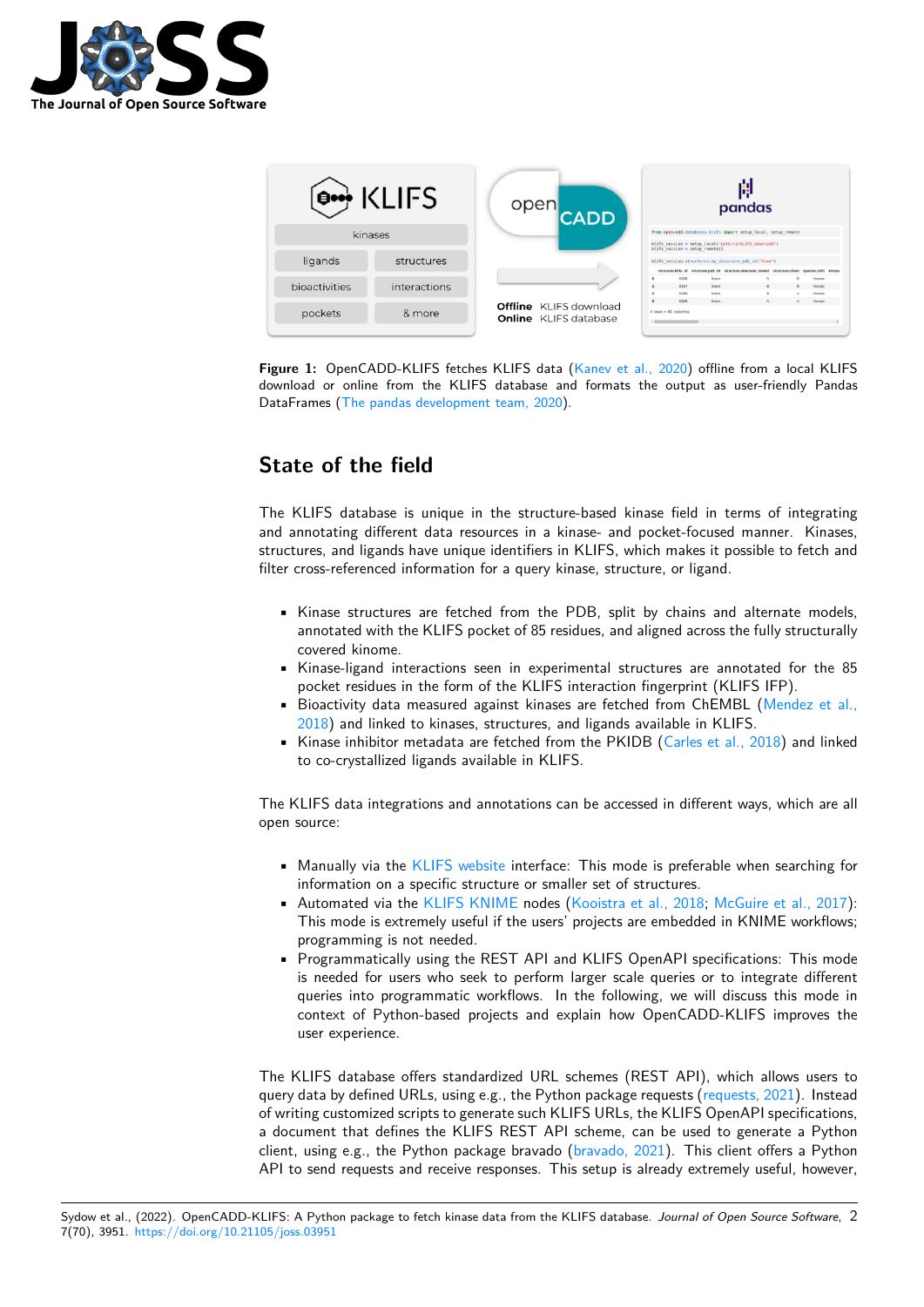



**Figure 1:** OpenCADD-KLIFS fetches KLIFS data (Kanev et al., 2020) offline from a local KLIFS download or online from the KLIFS database and formats the output as user-friendly Pandas DataFrames (The pandas development team, 2020).

# **State o[f the field](#page-4-0)**

The KLIFS database is unique in the structure-based kinase field in terms of integrating and annotating different data resources in a kinase- and pocket-focused manner. Kinases, structures, and ligands have unique identifiers in KLIFS, which makes it possible to fetch and filter cross-referenced information for a query kinase, structure, or ligand.

- Kinase structures are fetched from the PDB, split by chains and alternate models, annotated with the KLIFS pocket of 85 residues, and aligned across the fully structurally covered kinome.
- Kinase-ligand interactions seen in experimental structures are annotated for the 85 pocket residues in the form of the KLIFS interaction fingerprint (KLIFS IFP).
- Bioactivity data measured against kinases are fetched from ChEMBL (Mendez et al., 2018) and linked to kinases, structures, and ligands available in KLIFS.
- $\bullet$  Kinase inhibitor metadata are fetched from the PKIDB (Carles et al., 2018) and linked to co-crystallized ligands available in KLIFS.

The [KLIFS](#page-3-3) data integrations and annotations can be accessed [in different ways, w](#page-3-4)hich are all open source:

- Manually via the KLIFS website interface: This mode is preferable when searching for information on a specific structure or smaller set of structures.
- Automated via the KLIFS KNIME nodes (Kooistra et al., 2018; McGuire et al., 2017): This mode is extremely useful if the users' projects are embedded in KNIME workflows; programming is n[ot needed.](https://klifs.net/)
- Programmatically using the REST API and KLIFS OpenAPI specifications: This mode is needed for users [who seek to p](https://github.com/3D-e-Chem/knime-klifs)erform [larger scale queries o](#page-3-5)[r to integrate differen](#page-3-6)t queries into programmatic workflows. In the following, we will discuss this mode in context of Python-based projects and explain how OpenCADD-KLIFS improves the user experience.

The KLIFS database offers standardized URL schemes (REST API), which allows users to query data by defined URLs, using e.g., the Python package requests (requests, 2021). Instead of writing customized scripts to generate such KLIFS URLs, the KLIFS OpenAPI specifications, a document that defines the KLIFS REST API scheme, can be used to generate a Python client, using e.g., the Python package bravado (bravado,  $2021$ ). This client offers a Python API to send requests and receive responses. This setup is already ex[tremely useful,](#page-3-7) however,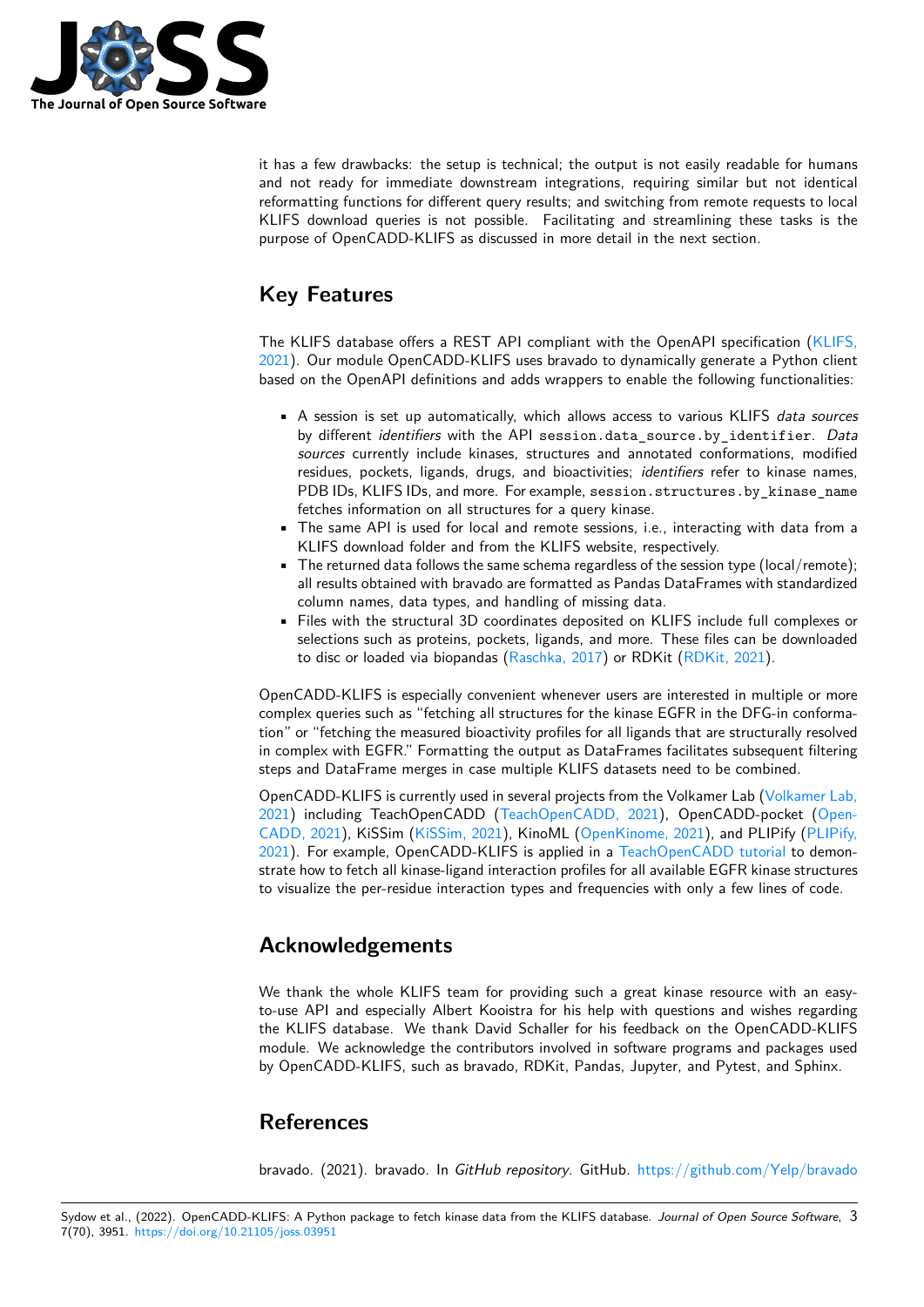

it has a few drawbacks: the setup is technical; the output is not easily readable for humans and not ready for immediate downstream integrations, requiring similar but not identical reformatting functions for different query results; and switching from remote requests to local KLIFS download queries is not possible. Facilitating and streamlining these tasks is the purpose of OpenCADD-KLIFS as discussed in more detail in the next section.

# **Key Features**

The KLIFS database offers a REST API compliant with the OpenAPI specification (KLIFS, 2021). Our module OpenCADD-KLIFS uses bravado to dynamically generate a Python client based on the OpenAPI definitions and adds wrappers to enable the following functionalities:

- A session is set up automatically, which allows access to various KLIFS *data [sources](#page-3-8)* by different *identifiers* with the API session.data\_source.by\_identifier. *Data sources* currently include kinases, structures and annotated conformations, modified residues, pockets, ligands, drugs, and bioactivities; *identifiers* refer to kinase names, PDB IDs, KLIFS IDs, and more. For example, session.structures.by\_kinase\_name fetches information on all structures for a query kinase.
- The same API is used for local and remote sessions, i.e., interacting with data from a KLIFS download folder and from the KLIFS website, respectively.
- The returned data follows the same schema regardless of the session type (local/remote); all results obtained with bravado are formatted as Pandas DataFrames with standardized column names, data types, and handling of missing data.
- Files with the structural 3D coordinates deposited on KLIFS include full complexes or selections such as proteins, pockets, ligands, and more. These files can be downloaded to disc or loaded via biopandas (Raschka, 2017) or RDKit (RDKit, 2021).

OpenCADD-KLIFS is especially convenient whenever users are interested in multiple or more complex queries such as "fetching all structures for the kinase EGFR in the DFG-in conformation" or "fetching the measured bioacti[vity profiles for](#page-3-9) all ligands t[hat are struct](#page-3-10)urally resolved in complex with EGFR." Formatting the output as DataFrames facilitates subsequent filtering steps and DataFrame merges in case multiple KLIFS datasets need to be combined.

OpenCADD-KLIFS is currently used in several projects from the Volkamer Lab (Volkamer Lab, 2021) including TeachOpenCADD (TeachOpenCADD, 2021), OpenCADD-pocket (Open-CADD, 2021), KiSSim (KiSSim, 2021), KinoML (OpenKinome, 2021), and PLIPify (PLIPify, 2021). For example, OpenCADD-KLIFS is applied in a TeachOpenCADD tutorial to demonstrate how to fetch all kinase-ligand interaction profiles for all available EGFR ki[nase structures](#page-4-1) [to vis](#page-4-1)ualize the per-residue interactio[n types and frequencies w](#page-4-2)ith only a few lines of c[ode.](#page-3-11)

### **[Ack](#page-3-12)nowledgements**

We thank the whole KLIFS team for providing such a great kinase resource with an easyto-use API and especially Albert Kooistra for his help with questions and wishes regarding the KLIFS database. We thank David Schaller for his feedback on the OpenCADD-KLIFS module. We acknowledge the contributors involved in software programs and packages used by OpenCADD-KLIFS, such as bravado, RDKit, Pandas, Jupyter, and Pytest, and Sphinx.

### **References**

<span id="page-2-0"></span>bravado. (2021). bravado. In *GitHub repository*. GitHub. https://github.com/Yelp/bravado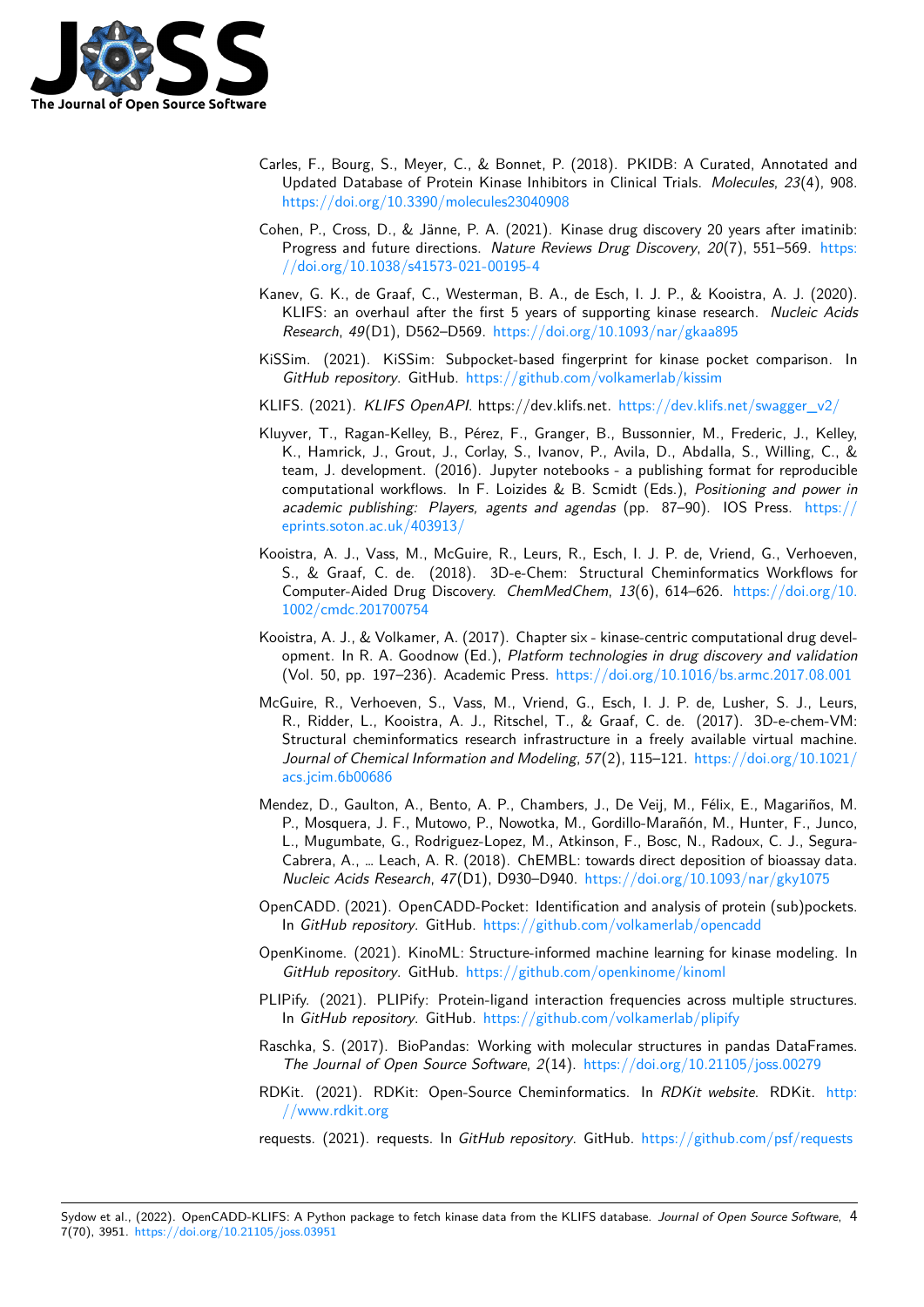

- Carles, F., Bourg, S., Meyer, C., & Bonnet, P. (2018). PKIDB: A Curated, Annotated and Updated Database of Protein Kinase Inhibitors in Clinical Trials. *Molecules*, *23*(4), 908. https://doi.org/10.3390/molecules23040908
- <span id="page-3-4"></span>Cohen, P., Cross, D., & Jänne, P. A. (2021). Kinase drug discovery 20 years after imatinib: Progress and future directions. *Nature Reviews Drug Discovery*, *20*(7), 551–569. https: [//doi.org/10.1038/s41573-021-00195-4](https://doi.org/10.3390/molecules23040908)
- <span id="page-3-0"></span>Kanev, G. K., de Graaf, C., Westerman, B. A., de Esch, I. J. P., & Kooistra, A. J. (2020). KLIFS: an overhaul after the first 5 years of supporting kinase research. *Nucleic [Acids](https://doi.org/10.1038/s41573-021-00195-4) Research*, *49*[\(D1\), D562–D569.](https://doi.org/10.1038/s41573-021-00195-4) https://doi.org/10.1093/nar/gkaa895
- KiSSim. (2021). KiSSim: Subpocket-based fingerprint for kinase pocket comparison. In *GitHub repository*. GitHub. https://github.com/volkamerlab/kissim
- <span id="page-3-2"></span>KLIFS. (2021). *KLIFS OpenAPI*. https://dev.klifs.net. [https://dev.klifs.ne](https://doi.org/10.1093/nar/gkaa895)t/swagger\_v2/
- Kluyver, T., Ragan-Kelley, B., Pérez, F., Granger, B., Bussonnier, M., Frederic, J., Kelley, K., Hamrick, J., Grout, J., [Corlay, S., Ivanov, P., Avila, D., Abdall](https://github.com/volkamerlab/kissim)a, S., Willing, C., & team, J. development. (2016). Jupyter notebooks [- a publishing format for reproducib](https://dev.klifs.net/swagger_v2/)le computational workflows. In F. Loizides & B. Scmidt (Eds.), *Positioning and power in academic publishing: Players, agents and agendas* (pp. 87–90). IOS Press. https:// eprints.soton.ac.uk/403913/
- <span id="page-3-8"></span>Kooistra, A. J., Vass, M., McGuire, R., Leurs, R., Esch, I. J. P. de, Vriend, G., Verhoeven, S., & Graaf, C. de. (2018). 3D-e-Chem: Structural Cheminformatics Workflows for Computer-Aided Drug Discovery. *ChemMedChem*, *13*(6), 614–626. https://doi[.org/10.](https://eprints.soton.ac.uk/403913/) [1002/cmdc.201700754](https://eprints.soton.ac.uk/403913/)
- <span id="page-3-5"></span>Kooistra, A. J., & Volkamer, A. (2017). Chapter six - kinase-centric computational drug development. In R. A. Goodnow (Ed.), *Platform technologies in drug discovery and validation* [\(Vol. 50, pp. 197–236\)](https://doi.org/10.1002/cmdc.201700754). Academic Press. https://doi.org/10.1016/b[s.armc.2017.08.001](https://doi.org/10.1002/cmdc.201700754)
- <span id="page-3-1"></span>McGuire, R., Verhoeven, S., Vass, M., Vriend, G., Esch, I. J. P. de, Lusher, S. J., Leurs, R., Ridder, L., Kooistra, A. J., Ritschel, T., & Graaf, C. de. (2017). 3D-e-chem-VM: Structural cheminformatics research infra[structure in a freely available virtual machine](https://doi.org/10.1016/bs.armc.2017.08.001). *Journal of Chemical Information and Modeling*, *57*(2), 115–121. https://doi.org/10.1021/ acs.jcim.6b00686
- <span id="page-3-6"></span>Mendez, D., Gaulton, A., Bento, A. P., Chambers, J., De Veij, M., Félix, E., Magariños, M. P., Mosquera, J. F., Mutowo, P., Nowotka, M., Gordillo-Marañón, M., Hunter, F., Junco, L., Mugumbate, G., Rodriguez-Lopez, M., Atkinson, F., Bosc, [N., Radoux, C. J., Segura-](https://doi.org/10.1021/acs.jcim.6b00686)[Cabrera, A., … Le](https://doi.org/10.1021/acs.jcim.6b00686)ach, A. R. (2018). ChEMBL: towards direct deposition of bioassay data. *Nucleic Acids Research*, *47*(D1), D930–D940. https://doi.org/10.1093/nar/gky1075
- <span id="page-3-3"></span>OpenCADD. (2021). OpenCADD-Pocket: Identification and analysis of protein (sub)pockets. In *GitHub repository*. GitHub. https://github.com/volkamerlab/opencadd
- OpenKinome. (2021). KinoML: Structure-informe[d machine learning for kinase modeling](https://doi.org/10.1093/nar/gky1075). In *GitHub repository*. GitHub. https://github.com/openkinome/kinoml
- <span id="page-3-11"></span>PLIPify. (2021). PLIPify: Protei[n-ligand interaction frequencies across multi](https://github.com/volkamerlab/opencadd)ple structures. In *GitHub repository*. GitHub. https://github.com/volkamerlab/plipify
- Raschka, S. (2017). BioPandas[: Working with molecular structures in p](https://github.com/openkinome/kinoml)andas DataFrames. *The Journal of Open Source Software*, *2*(14). https://doi.org/10.21105/joss.00279
- <span id="page-3-12"></span>RDKit. (2021). RDKit: Open-S[ource Cheminformatics. In](https://github.com/volkamerlab/plipify) *RDKit website*. RDKit. http: //www.rdkit.org

<span id="page-3-10"></span><span id="page-3-9"></span><span id="page-3-7"></span>requests. (2021). requests. In *GitHub repository*. GitHub. [https://github.com/psf/requ](https://doi.org/10.21105/joss.00279)ests